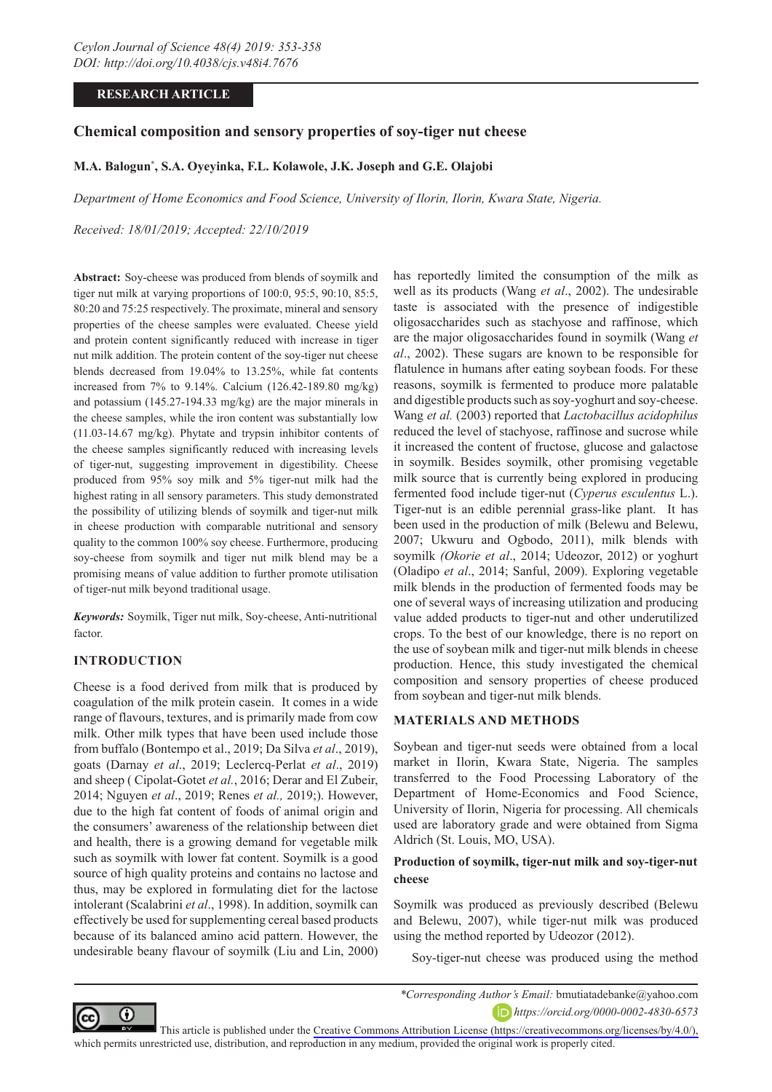# **RESEARCH ARTICLE**

# **Chemical composition and sensory properties of soy-tiger nut cheese**

# **M.A. Balogun\* , S.A. Oyeyinka, F.L. Kolawole, J.K. Joseph and G.E. Olajobi**

*Department of Home Economics and Food Science, University of Ilorin, Ilorin, Kwara State, Nigeria.*

*Received: 18/01/2019; Accepted: 22/10/2019*

**Abstract:** Soy-cheese was produced from blends of soymilk and tiger nut milk at varying proportions of 100:0, 95:5, 90:10, 85:5, 80:20 and 75:25 respectively. The proximate, mineral and sensory properties of the cheese samples were evaluated. Cheese yield and protein content significantly reduced with increase in tiger nut milk addition. The protein content of the soy-tiger nut cheese blends decreased from 19.04% to 13.25%, while fat contents increased from 7% to 9.14%. Calcium (126.42-189.80 mg/kg) and potassium (145.27-194.33 mg/kg) are the major minerals in the cheese samples, while the iron content was substantially low (11.03-14.67 mg/kg). Phytate and trypsin inhibitor contents of the cheese samples significantly reduced with increasing levels of tiger-nut, suggesting improvement in digestibility. Cheese produced from 95% soy milk and 5% tiger-nut milk had the highest rating in all sensory parameters. This study demonstrated the possibility of utilizing blends of soymilk and tiger-nut milk in cheese production with comparable nutritional and sensory quality to the common 100% soy cheese. Furthermore, producing soy-cheese from soymilk and tiger nut milk blend may be a promising means of value addition to further promote utilisation of tiger-nut milk beyond traditional usage.

*Keywords:* Soymilk, Tiger nut milk, Soy-cheese, Anti-nutritional factor.

### **INTRODUCTION**

Cheese is a food derived from milk that is produced by coagulation of the milk protein casein. It comes in a wide range of flavours, textures, and is primarily made from cow milk. Other milk types that have been used include those from buffalo (Bontempo et al., 2019; Da Silva *et al*., 2019), goats (Darnay *et al*., 2019; Leclercq-Perlat *et al*., 2019) and sheep ( Cipolat-Gotet *et al.*, 2016; Derar and El Zubeir, 2014; Nguyen *et al*., 2019; Renes *et al.,* 2019;). However, due to the high fat content of foods of animal origin and the consumers' awareness of the relationship between diet and health, there is a growing demand for vegetable milk such as soymilk with lower fat content. Soymilk is a good source of high quality proteins and contains no lactose and thus, may be explored in formulating diet for the lactose intolerant (Scalabrini *et al*., 1998). In addition, soymilk can effectively be used for supplementing cereal based products because of its balanced amino acid pattern. However, the undesirable beany flavour of soymilk (Liu and Lin, 2000)

has reportedly limited the consumption of the milk as well as its products (Wang *et al*., 2002). The undesirable taste is associated with the presence of indigestible oligosaccharides such as stachyose and raffinose, which are the major oligosaccharides found in soymilk (Wang *et al*., 2002). These sugars are known to be responsible for flatulence in humans after eating soybean foods. For these reasons, soymilk is fermented to produce more palatable and digestible products such as soy-yoghurt and soy-cheese. Wang *et al.* (2003) reported that *Lactobacillus acidophilus*  reduced the level of stachyose, raffinose and sucrose while it increased the content of fructose, glucose and galactose in soymilk. Besides soymilk, other promising vegetable milk source that is currently being explored in producing fermented food include tiger-nut (*Cyperus esculentus* L.). Tiger-nut is an edible perennial grass-like plant. It has been used in the production of milk (Belewu and Belewu, 2007; Ukwuru and Ogbodo, 2011), milk blends with soymilk *(Okorie et al*., 2014; Udeozor, 2012) or yoghurt (Oladipo *et al*., 2014; Sanful, 2009). Exploring vegetable milk blends in the production of fermented foods may be one of several ways of increasing utilization and producing value added products to tiger-nut and other underutilized crops. To the best of our knowledge, there is no report on the use of soybean milk and tiger-nut milk blends in cheese production. Hence, this study investigated the chemical composition and sensory properties of cheese produced from soybean and tiger-nut milk blends.

### **MATERIALS AND METHODS**

Soybean and tiger-nut seeds were obtained from a local market in Ilorin, Kwara State, Nigeria. The samples transferred to the Food Processing Laboratory of the Department of Home-Economics and Food Science, University of Ilorin, Nigeria for processing. All chemicals used are laboratory grade and were obtained from Sigma Aldrich (St. Louis, MO, USA).

## **Production of soymilk, tiger-nut milk and soy-tiger-nut cheese**

Soymilk was produced as previously described (Belewu and Belewu, 2007), while tiger-nut milk was produced using the method reported by Udeozor (2012).

Soy-tiger-nut cheese was produced using the method



*\*Corresponding Author's Email:* bmutiatadebanke@yahoo.com *https://orcid.org/0000-0002-4830-6573*

This article is published under the [Creative Commons Attribution License \(https://creativecommons.org/licenses/by/4.0/\),](https://creativecommons.org/licenses/by/4.0/)  which permits unrestricted use, distribution, and reproduction in any medium, provided the original work is properly cited.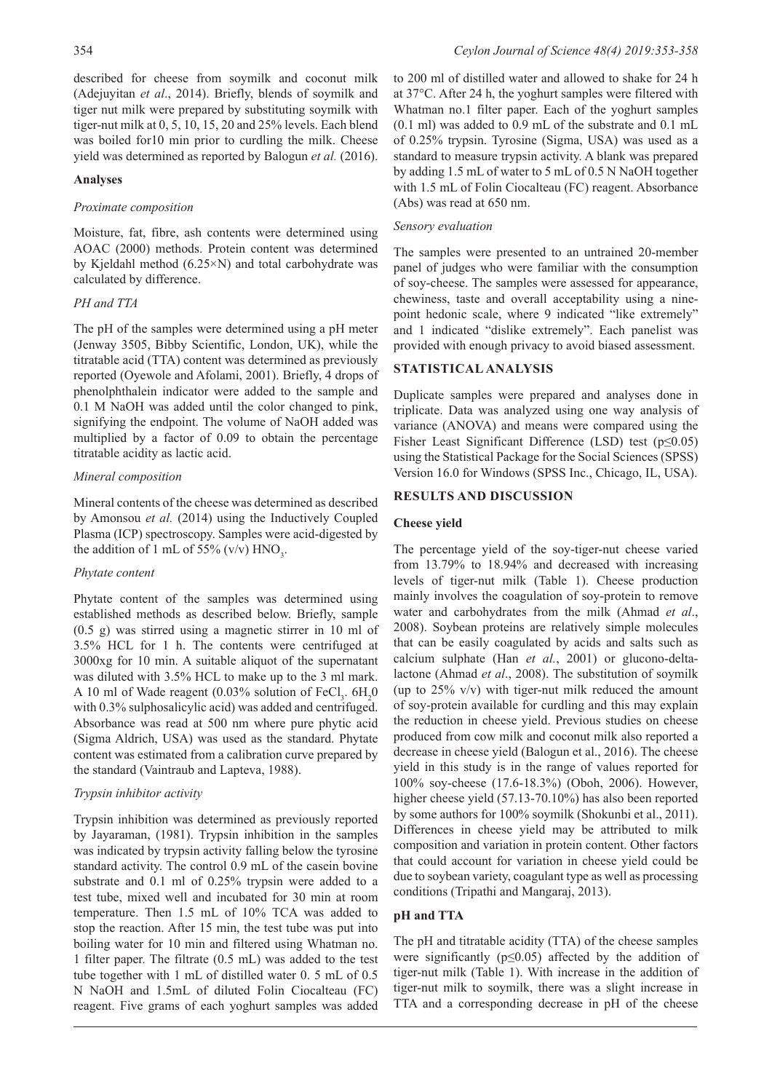described for cheese from soymilk and coconut milk (Adejuyitan *et al*., 2014). Briefly, blends of soymilk and tiger nut milk were prepared by substituting soymilk with tiger-nut milk at 0, 5, 10, 15, 20 and 25% levels. Each blend was boiled for10 min prior to curdling the milk. Cheese yield was determined as reported by Balogun *et al.* (2016).

## **Analyses**

## *Proximate composition*

Moisture, fat, fibre, ash contents were determined using AOAC (2000) methods. Protein content was determined by Kjeldahl method (6.25×N) and total carbohydrate was calculated by difference.

# *PH and TTA*

The pH of the samples were determined using a pH meter (Jenway 3505, Bibby Scientific, London, UK), while the titratable acid (TTA) content was determined as previously reported (Oyewole and Afolami, 2001). Briefly, 4 drops of phenolphthalein indicator were added to the sample and 0.1 M NaOH was added until the color changed to pink, signifying the endpoint. The volume of NaOH added was multiplied by a factor of 0.09 to obtain the percentage titratable acidity as lactic acid.

## *Mineral composition*

Mineral contents of the cheese was determined as described by Amonsou *et al.* (2014) using the Inductively Coupled Plasma (ICP) spectroscopy. Samples were acid-digested by the addition of 1 mL of 55% (v/v)  $HNO_3$ .

# *Phytate content*

Phytate content of the samples was determined using established methods as described below. Briefly, sample (0.5 g) was stirred using a magnetic stirrer in 10 ml of 3.5% HCL for 1 h. The contents were centrifuged at 3000xg for 10 min. A suitable aliquot of the supernatant was diluted with 3.5% HCL to make up to the 3 ml mark. A 10 ml of Wade reagent  $(0.03\%$  solution of FeCl<sub>3</sub>.  $6H_2O$ with 0.3% sulphosalicylic acid) was added and centrifuged. Absorbance was read at 500 nm where pure phytic acid (Sigma Aldrich, USA) was used as the standard. Phytate content was estimated from a calibration curve prepared by the standard (Vaintraub and Lapteva, 1988).

# *Trypsin inhibitor activity*

Trypsin inhibition was determined as previously reported by Jayaraman, (1981). Trypsin inhibition in the samples was indicated by trypsin activity falling below the tyrosine standard activity. The control 0.9 mL of the casein bovine substrate and 0.1 ml of 0.25% trypsin were added to a test tube, mixed well and incubated for 30 min at room temperature. Then 1.5 mL of 10% TCA was added to stop the reaction. After 15 min, the test tube was put into boiling water for 10 min and filtered using Whatman no. 1 filter paper. The filtrate (0.5 mL) was added to the test tube together with 1 mL of distilled water 0. 5 mL of 0.5 N NaOH and 1.5mL of diluted Folin Ciocalteau (FC) reagent. Five grams of each yoghurt samples was added

to 200 ml of distilled water and allowed to shake for 24 h at 37°C. After 24 h, the yoghurt samples were filtered with Whatman no.1 filter paper. Each of the yoghurt samples (0.1 ml) was added to 0.9 mL of the substrate and 0.1 mL of 0.25% trypsin. Tyrosine (Sigma, USA) was used as a standard to measure trypsin activity. A blank was prepared by adding 1.5 mL of water to 5 mL of 0.5 N NaOH together with 1.5 mL of Folin Ciocalteau (FC) reagent. Absorbance (Abs) was read at 650 nm.

# *Sensory evaluation*

The samples were presented to an untrained 20-member panel of judges who were familiar with the consumption of soy-cheese. The samples were assessed for appearance, chewiness, taste and overall acceptability using a ninepoint hedonic scale, where 9 indicated "like extremely" and 1 indicated "dislike extremely". Each panelist was provided with enough privacy to avoid biased assessment.

# **STATISTICAL ANALYSIS**

Duplicate samples were prepared and analyses done in triplicate. Data was analyzed using one way analysis of variance (ANOVA) and means were compared using the Fisher Least Significant Difference (LSD) test (p≤0.05) using the Statistical Package for the Social Sciences (SPSS) Version 16.0 for Windows (SPSS Inc., Chicago, IL, USA).

## **RESULTS AND DISCUSSION**

## **Cheese yield**

The percentage yield of the soy-tiger-nut cheese varied from 13.79% to 18.94% and decreased with increasing levels of tiger-nut milk (Table 1). Cheese production mainly involves the coagulation of soy-protein to remove water and carbohydrates from the milk (Ahmad *et al*., 2008). Soybean proteins are relatively simple molecules that can be easily coagulated by acids and salts such as calcium sulphate (Han *et al.*, 2001) or glucono-deltalactone (Ahmad *et al*., 2008). The substitution of soymilk (up to  $25\%$  v/v) with tiger-nut milk reduced the amount of soy-protein available for curdling and this may explain the reduction in cheese yield. Previous studies on cheese produced from cow milk and coconut milk also reported a decrease in cheese yield (Balogun et al., 2016). The cheese yield in this study is in the range of values reported for 100% soy-cheese (17.6-18.3%) (Oboh, 2006). However, higher cheese yield (57.13-70.10%) has also been reported by some authors for 100% soymilk (Shokunbi et al., 2011). Differences in cheese yield may be attributed to milk composition and variation in protein content. Other factors that could account for variation in cheese yield could be due to soybean variety, coagulant type as well as processing conditions (Tripathi and Mangaraj, 2013).

# **pH and TTA**

The pH and titratable acidity (TTA) of the cheese samples were significantly ( $p \le 0.05$ ) affected by the addition of tiger-nut milk (Table 1). With increase in the addition of tiger-nut milk to soymilk, there was a slight increase in TTA and a corresponding decrease in pH of the cheese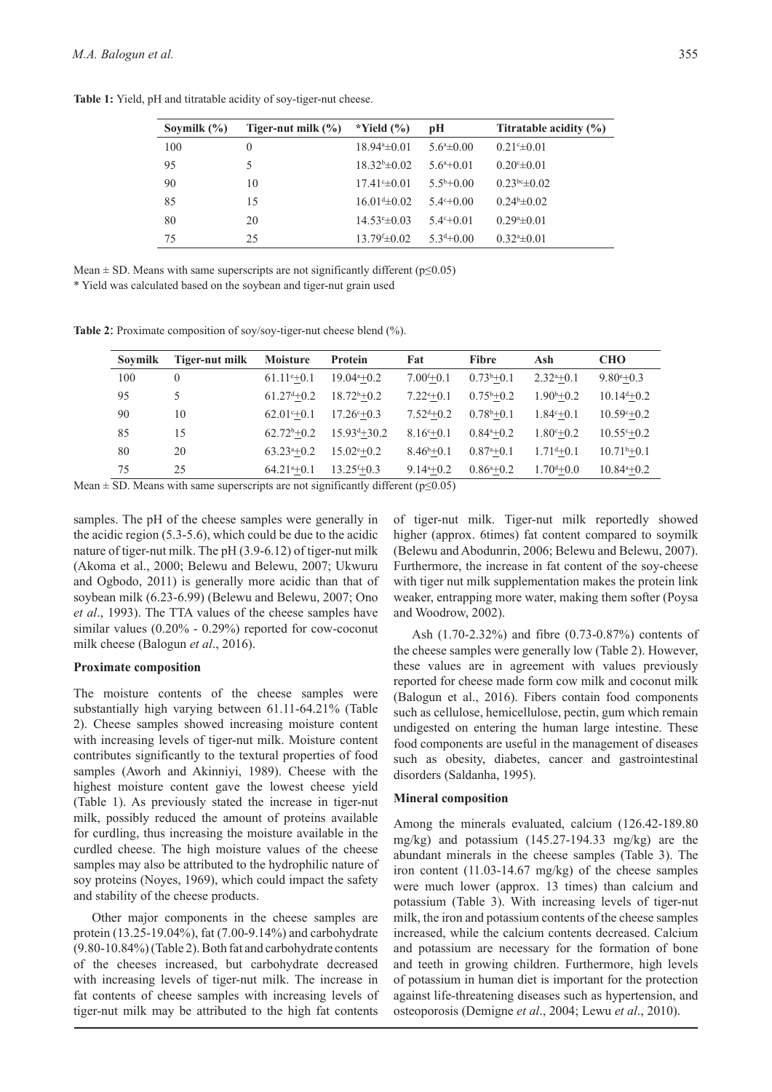| Soymilk $(\% )$ | Tiger-nut milk $(\% )$ | *Yield $(\% )$    | рH                      | Titratable acidity $(\% )$ |
|-----------------|------------------------|-------------------|-------------------------|----------------------------|
| 100             | $\theta$               | $18.94* \pm 0.01$ | $5.6^{\circ} \pm 0.00$  | $0.21 \pm 0.01$            |
| 95              | 5                      | $18.32b\pm 0.02$  | $5.6^{a}+0.01$          | $0.20^{\circ} \pm 0.01$    |
| 90              | 10                     | $17.41 \pm 0.01$  | $5.5^{\rm b} + 0.00$    | $0.23bc\pm 0.02$           |
| 85              | 15                     | $16.01 \pm 0.02$  | $54$ <sup>c</sup> +0.00 | $0.24b\pm 0.02$            |
| 80              | 20                     | $14.53 \pm 0.03$  | $5.4^{\circ}+0.01$      | $0.29^{\circ} \pm 0.01$    |
| 75              | 25                     | $13.79 \pm 0.02$  | $5.3d+0.00$             | $0.324 \pm 0.01$           |

**Table 1:** Yield, pH and titratable acidity of soy-tiger-nut cheese.

Mean  $\pm$  SD. Means with same superscripts are not significantly different (p $\leq$ 0.05)

\* Yield was calculated based on the soybean and tiger-nut grain used

**Table 2**: Proximate composition of soy/soy-tiger-nut cheese blend (%).

| <b>Soymilk</b> | Tiger-nut milk | <b>Moisture</b>     | Protein             | Fat                  | <b>Fibre</b>         | Ash                  | <b>CHO</b>            |  |
|----------------|----------------|---------------------|---------------------|----------------------|----------------------|----------------------|-----------------------|--|
| 100            | $\left($       | $61.11^{\circ}+0.1$ | $19.04^{a}+0.2$     | $7.00^{f+0.1}$       | $0.73^{b+0.1}$       | $2.32^{a}+0.1$       | $9.80^{\circ}+0.3$    |  |
| 95             | 5              | $61.27^{d}+0.2$     | $18.72^{b}+0.2$     | $7.22^{e}+0.1$       | $0.75^{\rm b} + 0.2$ | $1.90^{\rm b} + 0.2$ | $10.14^{d} + 0.2$     |  |
| 90             | 10             | $62.01^{\circ}+0.1$ | $17.26^{\circ}+0.3$ | $7.52^{d}+0.2$       | $0.78^{\rm b} + 0.1$ | $1.84^{\circ}+0.1$   | $10.59^{\circ}+0.2$   |  |
| 85             | 15             | $62.72^b + 0.2$     | $15.93^{d} + 30.2$  | $8.16^{c}+0.1$       | $0.84^{a}+0.2$       | $1.80^{\circ}+0.2$   | $10.55^{\circ}+0.2$   |  |
| 80             | 20             | $63.23^{a+0.2}$     | $15.02^{\circ}+0.2$ | $8.46^{\rm b} + 0.1$ | $0.87^{a}+0.1$       | $1.71^{d}+0.1$       | $10.71^{\rm b} + 0.1$ |  |
| 75             | 25             | $64.21^{a}+0.1$     | $13.25^{f+0.3}$     | $9.144 + 0.2$        | $0.86^{a}+0.2$       | $1.70^{d} + 0.0$     | $10.84^{a}+0.2$       |  |

Mean  $\pm$  SD. Means with same superscripts are not significantly different ( $p \le 0.05$ )

samples. The pH of the cheese samples were generally in the acidic region (5.3-5.6), which could be due to the acidic nature of tiger-nut milk. The pH (3.9-6.12) of tiger-nut milk (Akoma et al., 2000; Belewu and Belewu, 2007; Ukwuru and Ogbodo, 2011) is generally more acidic than that of soybean milk (6.23-6.99) (Belewu and Belewu, 2007; Ono *et al*., 1993). The TTA values of the cheese samples have similar values (0.20% - 0.29%) reported for cow-coconut milk cheese (Balogun *et al*., 2016).

#### **Proximate composition**

The moisture contents of the cheese samples were substantially high varying between 61.11-64.21% (Table 2). Cheese samples showed increasing moisture content with increasing levels of tiger-nut milk. Moisture content contributes significantly to the textural properties of food samples (Aworh and Akinniyi, 1989). Cheese with the highest moisture content gave the lowest cheese yield (Table 1). As previously stated the increase in tiger-nut milk, possibly reduced the amount of proteins available for curdling, thus increasing the moisture available in the curdled cheese. The high moisture values of the cheese samples may also be attributed to the hydrophilic nature of soy proteins (Noyes, 1969), which could impact the safety and stability of the cheese products.

Other major components in the cheese samples are protein (13.25-19.04%), fat (7.00-9.14%) and carbohydrate (9.80-10.84%) (Table 2). Both fat and carbohydrate contents of the cheeses increased, but carbohydrate decreased with increasing levels of tiger-nut milk. The increase in fat contents of cheese samples with increasing levels of tiger-nut milk may be attributed to the high fat contents

of tiger-nut milk. Tiger-nut milk reportedly showed higher (approx. 6times) fat content compared to soymilk (Belewu and Abodunrin, 2006; Belewu and Belewu, 2007). Furthermore, the increase in fat content of the soy-cheese with tiger nut milk supplementation makes the protein link weaker, entrapping more water, making them softer (Poysa and Woodrow, 2002).

Ash (1.70-2.32%) and fibre (0.73-0.87%) contents of the cheese samples were generally low (Table 2). However, these values are in agreement with values previously reported for cheese made form cow milk and coconut milk (Balogun et al., 2016). Fibers contain food components such as cellulose, hemicellulose, pectin, gum which remain undigested on entering the human large intestine. These food components are useful in the management of diseases such as obesity, diabetes, cancer and gastrointestinal disorders (Saldanha, 1995).

#### **Mineral composition**

Among the minerals evaluated, calcium (126.42-189.80 mg/kg) and potassium (145.27-194.33 mg/kg) are the abundant minerals in the cheese samples (Table 3). The iron content (11.03-14.67 mg/kg) of the cheese samples were much lower (approx. 13 times) than calcium and potassium (Table 3). With increasing levels of tiger-nut milk, the iron and potassium contents of the cheese samples increased, while the calcium contents decreased. Calcium and potassium are necessary for the formation of bone and teeth in growing children. Furthermore, high levels of potassium in human diet is important for the protection against life-threatening diseases such as hypertension, and osteoporosis (Demigne *et al*., 2004; Lewu *et al*., 2010).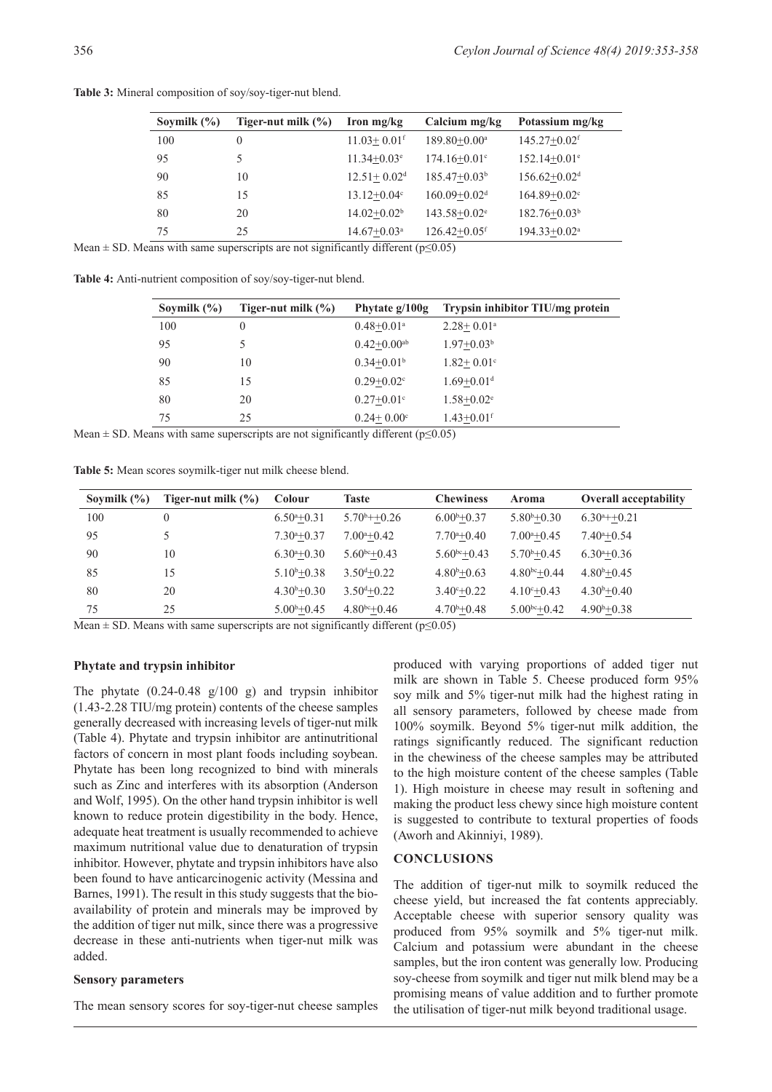| Soymilk $(\% )$ | Tiger-nut milk $(\% )$ | Iron mg/kg                  | Calcium mg/kg                | Potassium mg/kg              |
|-----------------|------------------------|-----------------------------|------------------------------|------------------------------|
| 100             | $\theta$               | $11.03 + 0.01$ <sup>f</sup> | $189.80 + 0.00^a$            | $145.27 + 0.02$ <sup>f</sup> |
| 95              | 5                      | $11.34 + 0.03$ <sup>e</sup> | $174.16 + 0.01^{\circ}$      | $152.14+0.01^e$              |
| 90              | 10                     | $12.51 + 0.02d$             | $185.47+0.03b$               | $156.62 + 0.02d$             |
| 85              | 15                     | $13.12 + 0.04$ °            | $160.09 + 0.02d$             | $164.89 + 0.02$ <sup>c</sup> |
| 80              | 20                     | $14.02 + 0.02^b$            | $143.58 + 0.02^e$            | $182.76 + 0.03b$             |
| 75              | 25                     | $14.67 + 0.03$ <sup>a</sup> | $126.42 + 0.05$ <sup>f</sup> | $194.33 + 0.02^a$            |

**Table 3:** Mineral composition of soy/soy-tiger-nut blend.

Mean  $\pm$  SD. Means with same superscripts are not significantly different ( $p \le 0.05$ )

**Table 4:** Anti-nutrient composition of soy/soy-tiger-nut blend.

| Soymilk $(\% )$ | Tiger-nut milk $(\% )$ | Phytate g/100g              | Trypsin inhibitor TIU/mg protein |
|-----------------|------------------------|-----------------------------|----------------------------------|
| 100             | $\theta$               | $0.48 + 0.01$ <sup>a</sup>  | $2.28 + 0.01$ <sup>a</sup>       |
| 95              | 5                      | $0.42 + 0.00$ <sup>ab</sup> | $1.97 + 0.03^b$                  |
| 90              | 10                     | $0.34+0.01b$                | $1.82 + 0.01$ <sup>c</sup>       |
| 85              | 15                     | $0.29 + 0.02^{\circ}$       | $1.69 + 0.01$ <sup>d</sup>       |
| 80              | 20                     | $0.27+0.01^{\circ}$         | $1.58 + 0.02^e$                  |
| 75              | 25                     | $0.24 + 0.00^{\circ}$       | $1.43 + 0.01$ <sup>f</sup>       |

Mean  $\pm$  SD. Means with same superscripts are not significantly different ( $p \le 0.05$ )

**Table 5:** Mean scores soymilk-tiger nut milk cheese blend.

| Sovmilk $(\% )$ | Tiger-nut milk $(\% )$ | <b>Colour</b>         | Taste                      | <b>Chewiness</b>      | Aroma                 | <b>Overall acceptability</b> |
|-----------------|------------------------|-----------------------|----------------------------|-----------------------|-----------------------|------------------------------|
| 100             | $\theta$               | $6.50^{a+0.31}$       | $5.70^{\rm b} + 0.26$      | $6.00^{\rm b} + 0.37$ | $5.80^{\rm b} + 0.30$ | $6.30^{a}++0.21$             |
| 95              |                        | $7.30^{a} + 0.37$     | $7.00^{\mathrm{a}} + 0.42$ | $7.70^{a} + 0.40$     | $7.00^{a} + 0.45$     | $7.40^{\mathrm{a}} + 0.54$   |
| 90              | 10                     | $6.30^{a} + 0.30$     | $5.60^{bc} + 0.43$         | $5.60^{bc} + 0.43$    | $5.70^{\rm b} + 0.45$ | $6.30^{a}+0.36$              |
| 85              | 15                     | $5.10^b + 0.38$       | $3.50^{d} + 0.22$          | $4.80^{\rm b} + 0.63$ | $4.80^{bc} + 0.44$    | $4.80^{\rm b} + 0.45$        |
| 80              | 20                     | $4.30^{\rm b} + 0.30$ | $3.50^{d} + 0.22$          | $3.40^{\circ}+0.22$   | $4.10^{c} + 0.43$     | $4.30^{\rm b} + 0.40$        |
| 75              | 25                     | $5.00^{\rm b} + 0.45$ | $4.80^{bc}+0.46$           | $4.70^{\rm b} + 0.48$ | $5.00^{bc} + 0.42$    | $4.90^{\rm b} + 0.38$        |

Mean  $\pm$  SD. Means with same superscripts are not significantly different ( $p \le 0.05$ )

#### **Phytate and trypsin inhibitor**

The phytate (0.24-0.48 g/100 g) and trypsin inhibitor (1.43-2.28 TIU/mg protein) contents of the cheese samples generally decreased with increasing levels of tiger-nut milk (Table 4). Phytate and trypsin inhibitor are antinutritional factors of concern in most plant foods including soybean. Phytate has been long recognized to bind with minerals such as Zinc and interferes with its absorption (Anderson and Wolf, 1995). On the other hand trypsin inhibitor is well known to reduce protein digestibility in the body. Hence, adequate heat treatment is usually recommended to achieve maximum nutritional value due to denaturation of trypsin inhibitor. However, phytate and trypsin inhibitors have also been found to have anticarcinogenic activity (Messina and Barnes, 1991). The result in this study suggests that the bioavailability of protein and minerals may be improved by the addition of tiger nut milk, since there was a progressive decrease in these anti-nutrients when tiger-nut milk was added.

#### **Sensory parameters**

The mean sensory scores for soy-tiger-nut cheese samples

produced with varying proportions of added tiger nut milk are shown in Table 5. Cheese produced form 95% soy milk and 5% tiger-nut milk had the highest rating in all sensory parameters, followed by cheese made from 100% soymilk. Beyond 5% tiger-nut milk addition, the ratings significantly reduced. The significant reduction in the chewiness of the cheese samples may be attributed to the high moisture content of the cheese samples (Table 1). High moisture in cheese may result in softening and making the product less chewy since high moisture content is suggested to contribute to textural properties of foods (Aworh and Akinniyi, 1989).

### **CONCLUSIONS**

The addition of tiger-nut milk to soymilk reduced the cheese yield, but increased the fat contents appreciably. Acceptable cheese with superior sensory quality was produced from 95% soymilk and 5% tiger-nut milk. Calcium and potassium were abundant in the cheese samples, but the iron content was generally low. Producing soy-cheese from soymilk and tiger nut milk blend may be a promising means of value addition and to further promote the utilisation of tiger-nut milk beyond traditional usage.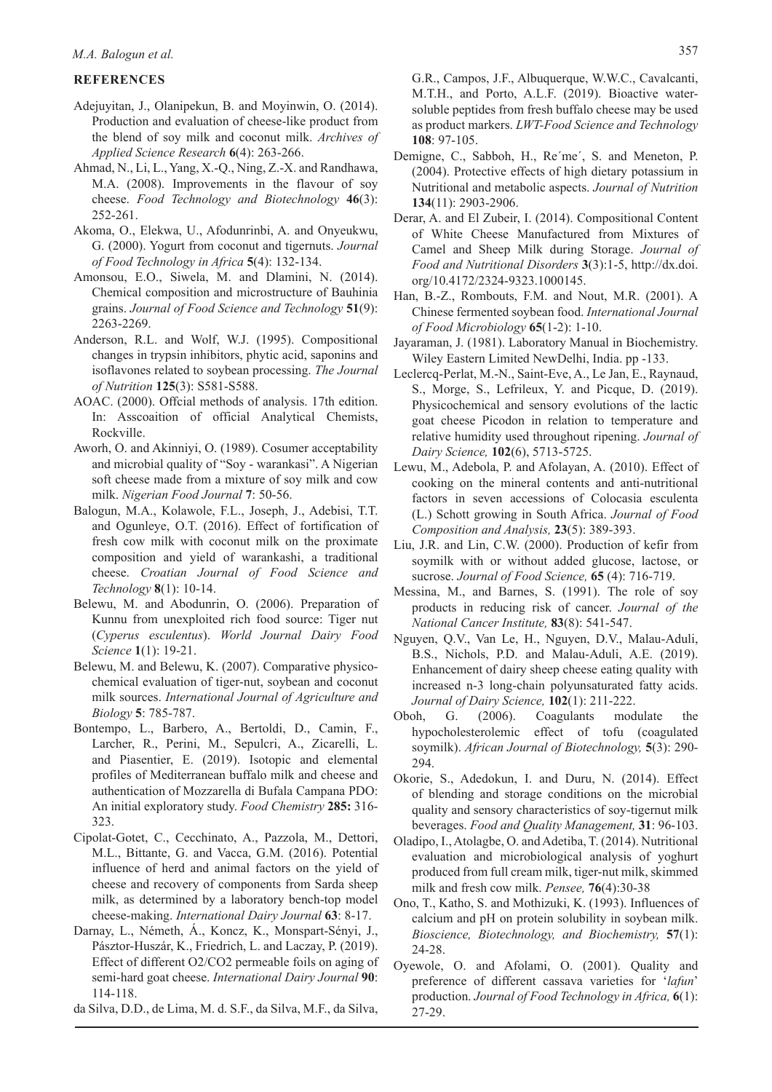# *M.A. Balogun et al.* 357

# **REFERENCES**

- Adejuyitan, J., Olanipekun, B. and Moyinwin, O. (2014). Production and evaluation of cheese-like product from the blend of soy milk and coconut milk. *Archives of Applied Science Research* **6**(4): 263-266.
- Ahmad, N., Li, L., Yang, X.-Q., Ning, Z.-X. and Randhawa, M.A. (2008). Improvements in the flavour of soy cheese. *Food Technology and Biotechnology* **46**(3): 252-261.
- Akoma, O., Elekwa, U., Afodunrinbi, A. and Onyeukwu, G. (2000). Yogurt from coconut and tigernuts. *Journal of Food Technology in Africa* **5**(4): 132-134.
- Amonsou, E.O., Siwela, M. and Dlamini, N. (2014). Chemical composition and microstructure of Bauhinia grains. *Journal of Food Science and Technology* **51**(9): 2263-2269.
- Anderson, R.L. and Wolf, W.J. (1995). Compositional changes in trypsin inhibitors, phytic acid, saponins and isoflavones related to soybean processing. *The Journal of Nutrition* **125**(3): S581-S588.
- AOAC. (2000). Offcial methods of analysis. 17th edition. In: Asscoaition of official Analytical Chemists, Rockville.
- Aworh, O. and Akinniyi, O. (1989). Cosumer acceptability and microbial quality of "Soy - warankasi". A Nigerian soft cheese made from a mixture of soy milk and cow milk. *Nigerian Food Journal* **7**: 50-56.
- Balogun, M.A., Kolawole, F.L., Joseph, J., Adebisi, T.T. and Ogunleye, O.T. (2016). Effect of fortification of fresh cow milk with coconut milk on the proximate composition and yield of warankashi, a traditional cheese. *Croatian Journal of Food Science and Technology* **8**(1): 10-14.
- Belewu, M. and Abodunrin, O. (2006). Preparation of Kunnu from unexploited rich food source: Tiger nut (*Cyperus esculentus*). *World Journal Dairy Food Science* **1**(1): 19-21.
- Belewu, M. and Belewu, K. (2007). Comparative physicochemical evaluation of tiger-nut, soybean and coconut milk sources. *International Journal of Agriculture and Biology* **5**: 785-787.
- Bontempo, L., Barbero, A., Bertoldi, D., Camin, F., Larcher, R., Perini, M., Sepulcri, A., Zicarelli, L. and Piasentier, E. (2019). Isotopic and elemental profiles of Mediterranean buffalo milk and cheese and authentication of Mozzarella di Bufala Campana PDO: An initial exploratory study. *Food Chemistry* **285:** 316- 323.
- Cipolat-Gotet, C., Cecchinato, A., Pazzola, M., Dettori, M.L., Bittante, G. and Vacca, G.M. (2016). Potential influence of herd and animal factors on the yield of cheese and recovery of components from Sarda sheep milk, as determined by a laboratory bench-top model cheese-making. *International Dairy Journal* **63**: 8-17.
- Darnay, L., Németh, Á., Koncz, K., Monspart-Sényi, J., Pásztor-Huszár, K., Friedrich, L. and Laczay, P. (2019). Effect of different O2/CO2 permeable foils on aging of semi-hard goat cheese. *International Dairy Journal* **90**: 114-118.
- da Silva, D.D., de Lima, M. d. S.F., da Silva, M.F., da Silva,

G.R., Campos, J.F., Albuquerque, W.W.C., Cavalcanti, M.T.H., and Porto, A.L.F. (2019). Bioactive watersoluble peptides from fresh buffalo cheese may be used as product markers. *LWT-Food Science and Technology*  **108**: 97-105.

- Demigne, C., Sabboh, H., Re´me´, S. and Meneton, P. (2004). Protective effects of high dietary potassium in Nutritional and metabolic aspects. *Journal of Nutrition*  **134**(11): 2903-2906.
- Derar, A. and El Zubeir, I. (2014). Compositional Content of White Cheese Manufactured from Mixtures of Camel and Sheep Milk during Storage. *Journal of Food and Nutritional Disorders* **3**(3):1-5, http://dx.doi. org/10.4172/2324-9323.1000145.
- Han, B.-Z., Rombouts, F.M. and Nout, M.R. (2001). A Chinese fermented soybean food. *International Journal of Food Microbiology* **65**(1-2): 1-10.
- Jayaraman, J. (1981). Laboratory Manual in Biochemistry. Wiley Eastern Limited NewDelhi, India. pp -133.
- Leclercq-Perlat, M.-N., Saint-Eve, A., Le Jan, E., Raynaud, S., Morge, S., Lefrileux, Y. and Picque, D. (2019). Physicochemical and sensory evolutions of the lactic goat cheese Picodon in relation to temperature and relative humidity used throughout ripening. *Journal of Dairy Science,* **102**(6), 5713-5725.
- Lewu, M., Adebola, P. and Afolayan, A. (2010). Effect of cooking on the mineral contents and anti-nutritional factors in seven accessions of Colocasia esculenta (L.) Schott growing in South Africa. *Journal of Food Composition and Analysis,* **23**(5): 389-393.
- Liu, J.R. and Lin, C.W. (2000). Production of kefir from soymilk with or without added glucose, lactose, or sucrose. *Journal of Food Science,* **65** (4): 716-719.
- Messina, M., and Barnes, S. (1991). The role of soy products in reducing risk of cancer. *Journal of the National Cancer Institute,* **83**(8): 541-547.
- Nguyen, Q.V., Van Le, H., Nguyen, D.V., Malau-Aduli, B.S., Nichols, P.D. and Malau-Aduli, A.E. (2019). Enhancement of dairy sheep cheese eating quality with increased n-3 long-chain polyunsaturated fatty acids. *Journal of Dairy Science,* **102**(1): 211-222.
- Oboh, G. (2006). Coagulants modulate the hypocholesterolemic effect of tofu (coagulated soymilk). *African Journal of Biotechnology,* **5**(3): 290- 294.
- Okorie, S., Adedokun, I. and Duru, N. (2014). Effect of blending and storage conditions on the microbial quality and sensory characteristics of soy-tigernut milk beverages. *Food and Quality Management,* **31**: 96-103.
- Oladipo, I., Atolagbe, O. and Adetiba, T. (2014). Nutritional evaluation and microbiological analysis of yoghurt produced from full cream milk, tiger-nut milk, skimmed milk and fresh cow milk. *Pensee,* **76**(4):30-38
- Ono, T., Katho, S. and Mothizuki, K. (1993). Influences of calcium and pH on protein solubility in soybean milk. *Bioscience, Biotechnology, and Biochemistry,* **57**(1): 24-28.
- Oyewole, O. and Afolami, O. (2001). Quality and preference of different cassava varieties for '*lafun*' production. *Journal of Food Technology in Africa,* **6**(1): 27-29.